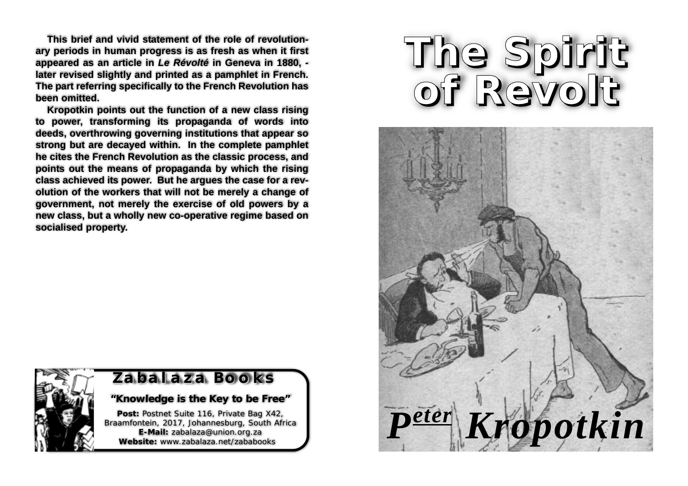**This brief and vivid statement of the role of revolutionary periods in human progress is as fresh as when it first appeared as an article in** *Le Révolté* **in Geneva in 1880, later revised slightly and printed as a pamphlet in French. The part referring specifically to the French Revolution has been omitted.**

**Kropotkin points out the function of a new class rising to power, transforming its propaganda of words into deeds, overthrowing governing institutions that appear so strong but are decayed within. In the complete pamphlet he cites the French Revolution as the classic process, and points out the means of propaganda by which the rising class achieved its power. But he argues the case for a revolution of the workers that will not be merely a change of government, not merely the exercise of old powers by a new class, but a wholly new co-operative regime based on socialised property.**

# *The Spirit of Revolt*





# **Zabalaza Books balaza Books**

### *"Knowledge is the Key to be Free"*

**Post:** Postnet Suite 116, Private Bag X42, Braamfontein, 2017, Johannesburg, South Africa **E-Mail:** zabalaza@union.org.za **Website:** www.zabalaza.net/zababooks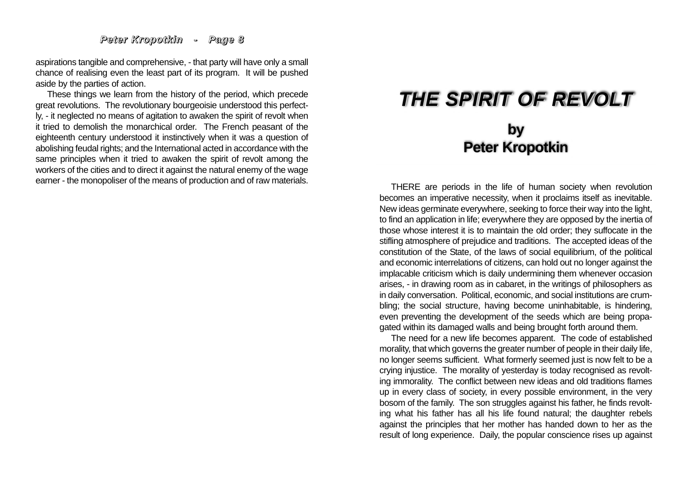#### *Pete r Kr o p otkin - Pa g e 8*

aspirations tangible and comprehensive, - that party will have only a small chance of realising even the least part of its program. It will be pushed aside by the parties of action.

These things we learn from the history of the period, which precede great revolutions. The revolutionary bourgeoisie understood this perfectly, - it neglected no means of agitation to awaken the spirit of revolt when it tried to demolish the monarchical order. The French peasant of the eighteenth century understood it instinctively when it was a question of abolishing feudal rights; and the International acted in accordance with the same principles when it tried to awaken the spirit of revolt among the workers of the cities and to direct it against the natural enemy of the wage earner - the monopoliser of the means of production and of raw materials.

# *THE SPIRIT OF REVOL THE SPIRIT OF REVOL T*

## **by Peter Kropotkin**

THERE are periods in the life of human society when revolution becomes an imperative necessity, when it proclaims itself as inevitable. New ideas germinate everywhere, seeking to force their way into the light, to find an application in life; everywhere they are opposed by the inertia of those whose interest it is to maintain the old order; they suffocate in the stifling atmosphere of prejudice and traditions. The accepted ideas of the constitution of the State, of the laws of social equilibrium, of the political and economic interrelations of citizens, can hold out no longer against the implacable criticism which is daily undermining them whenever occasion arises, - in drawing room as in cabaret, in the writings of philosophers as in daily conversation. Political, economic, and social institutions are crumbling; the social structure, having become uninhabitable, is hindering, even preventing the development of the seeds which are being propagated within its damaged walls and being brought forth around them.

The need for a new life becomes apparent. The code of established morality, that which governs the greater number of people in their daily life, no longer seems sufficient. What formerly seemed just is now felt to be a crying injustice. The morality of yesterday is today recognised as revolting immorality. The conflict between new ideas and old traditions flames up in every class of society, in every possible environment, in the very bosom of the family. The son struggles against his father, he finds revolting what his father has all his life found natural; the daughter rebels against the principles that her mother has handed down to her as the result of long experience. Daily, the popular conscience rises up against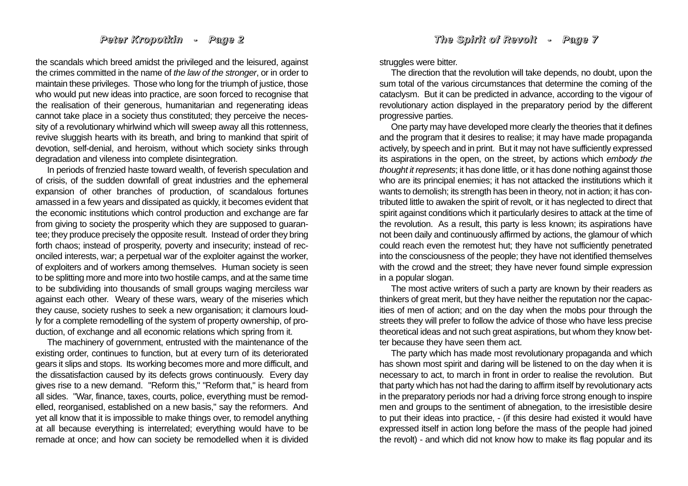the scandals which breed amidst the privileged and the leisured, against the crimes committed in the name of *the law of the stronger*, or in order to maintain these privileges. Those who long for the triumph of justice, those who would put new ideas into practice, are soon forced to recognise that the realisation of their generous, humanitarian and regenerating ideas cannot take place in a society thus constituted; they perceive the necessity of a revolutionary whirlwind which will sweep away all this rottenness, revive sluggish hearts with its breath, and bring to mankind that spirit of devotion, self-denial, and heroism, without which society sinks through degradation and vileness into complete disintegration.

In periods of frenzied haste toward wealth, of feverish speculation and of crisis, of the sudden downfall of great industries and the ephemeral expansion of other branches of production, of scandalous fortunes amassed in a few years and dissipated as quickly, it becomes evident that the economic institutions which control production and exchange are far from giving to society the prosperity which they are supposed to guarantee; they produce precisely the opposite result. Instead of order they bring forth chaos; instead of prosperity, poverty and insecurity; instead of reconciled interests, war; a perpetual war of the exploiter against the worker, of exploiters and of workers among themselves. Human society is seen to be splitting more and more into two hostile camps, and at the same time to be subdividing into thousands of small groups waging merciless war against each other. Weary of these wars, weary of the miseries which they cause, society rushes to seek a new organisation; it clamours loudly for a complete remodelling of the system of property ownership, of production, of exchange and all economic relations which spring from it.

The machinery of government, entrusted with the maintenance of the existing order, continues to function, but at every turn of its deteriorated gears it slips and stops. Its working becomes more and more difficult, and the dissatisfaction caused by its defects grows continuously. Every day gives rise to a new demand. "Reform this," "Reform that," is heard from all sides. "War, finance, taxes, courts, police, everything must be remodelled, reorganised, established on a new basis," say the reformers. And yet all know that it is impossible to make things over, to remodel anything at all because everything is interrelated; everything would have to be remade at once; and how can society be remodelled when it is divided

struggles were bitter.

The direction that the revolution will take depends, no doubt, upon the sum total of the various circumstances that determine the coming of the cataclysm. But it can be predicted in advance, according to the vigour of revolutionary action displayed in the preparatory period by the different progressive parties.

One party may have developed more clearly the theories that it defines and the program that it desires to realise; it may have made propaganda actively, by speech and in print. But it may not have sufficiently expressed its aspirations in the open, on the street, by actions which *embody the thought it represents*; it has done little, or it has done nothing against those who are its principal enemies; it has not attacked the institutions which it wants to demolish; its strength has been in theory, not in action; it has contributed little to awaken the spirit of revolt, or it has neglected to direct that spirit against conditions which it particularly desires to attack at the time of the revolution. As a result, this party is less known; its aspirations have not been daily and continuously affirmed by actions, the glamour of which could reach even the remotest hut; they have not sufficiently penetrated into the consciousness of the people; they have not identified themselves with the crowd and the street; they have never found simple expression in a popular slogan.

The most active writers of such a party are known by their readers as thinkers of great merit, but they have neither the reputation nor the capacities of men of action; and on the day when the mobs pour through the streets they will prefer to follow the advice of those who have less precise theoretical ideas and not such great aspirations, but whom they know better because they have seen them act.

The party which has made most revolutionary propaganda and which has shown most spirit and daring will be listened to on the day when it is necessary to act, to march in front in order to realise the revolution. But that party which has not had the daring to affirm itself by revolutionary acts in the preparatory periods nor had a driving force strong enough to inspire men and groups to the sentiment of abnegation, to the irresistible desire to put their ideas into practice, - (if this desire had existed it would have expressed itself in action long before the mass of the people had joined the revolt) - and which did not know how to make its flag popular and its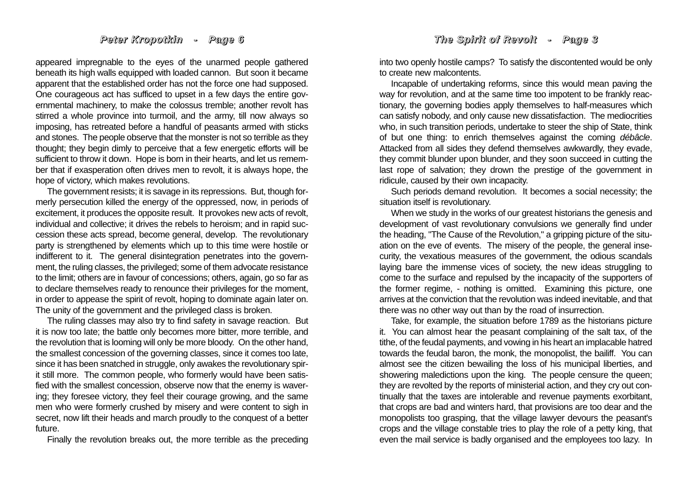appeared impregnable to the eyes of the unarmed people gathered beneath its high walls equipped with loaded cannon. But soon it became apparent that the established order has not the force one had supposed. One courageous act has sufficed to upset in a few days the entire governmental machinery, to make the colossus tremble; another revolt has stirred a whole province into turmoil, and the army, till now always so imposing, has retreated before a handful of peasants armed with sticks and stones. The people observe that the monster is not so terrible as they thought; they begin dimly to perceive that a few energetic efforts will be sufficient to throw it down. Hope is born in their hearts, and let us remember that if exasperation often drives men to revolt, it is always hope, the hope of victory, which makes revolutions.

The government resists; it is savage in its repressions. But, though formerly persecution killed the energy of the oppressed, now, in periods of excitement, it produces the opposite result. It provokes new acts of revolt, individual and collective; it drives the rebels to heroism; and in rapid succession these acts spread, become general, develop. The revolutionary party is strengthened by elements which up to this time were hostile or indifferent to it. The general disintegration penetrates into the government, the ruling classes, the privileged; some of them advocate resistance to the limit; others are in favour of concessions; others, again, go so far as to declare themselves ready to renounce their privileges for the moment, in order to appease the spirit of revolt, hoping to dominate again later on. The unity of the government and the privileged class is broken.

The ruling classes may also try to find safety in savage reaction. But it is now too late; the battle only becomes more bitter, more terrible, and the revolution that is looming will only be more bloody. On the other hand, the smallest concession of the governing classes, since it comes too late, since it has been snatched in struggle, only awakes the revolutionary spirit still more. The common people, who formerly would have been satisfied with the smallest concession, observe now that the enemy is wavering; they foresee victory, they feel their courage growing, and the same men who were formerly crushed by misery and were content to sigh in secret, now lift their heads and march proudly to the conquest of a better future.

Finally the revolution breaks out, the more terrible as the preceding

into two openly hostile camps? To satisfy the discontented would be only to create new malcontents.

Incapable of undertaking reforms, since this would mean paving the way for revolution, and at the same time too impotent to be frankly reactionary, the governing bodies apply themselves to half-measures which can satisfy nobody, and only cause new dissatisfaction. The mediocrities who, in such transition periods, undertake to steer the ship of State, think of but one thing: to enrich themselves against the coming *débâcle*. Attacked from all sides they defend themselves awkwardly, they evade, they commit blunder upon blunder, and they soon succeed in cutting the last rope of salvation; they drown the prestige of the government in ridicule, caused by their own incapacity.

Such periods demand revolution. It becomes a social necessity; the situation itself is revolutionary.

When we study in the works of our greatest historians the genesis and development of vast revolutionary convulsions we generally find under the heading, "The Cause of the Revolution," a gripping picture of the situation on the eve of events. The misery of the people, the general insecurity, the vexatious measures of the government, the odious scandals laying bare the immense vices of society, the new ideas struggling to come to the surface and repulsed by the incapacity of the supporters of the former regime, - nothing is omitted. Examining this picture, one arrives at the conviction that the revolution was indeed inevitable, and that there was no other way out than by the road of insurrection.

Take, for example, the situation before 1789 as the historians picture it. You can almost hear the peasant complaining of the salt tax, of the tithe, of the feudal payments, and vowing in his heart an implacable hatred towards the feudal baron, the monk, the monopolist, the bailiff. You can almost see the citizen bewailing the loss of his municipal liberties, and showering maledictions upon the king. The people censure the queen; they are revolted by the reports of ministerial action, and they cry out continually that the taxes are intolerable and revenue payments exorbitant, that crops are bad and winters hard, that provisions are too dear and the monopolists too grasping, that the village lawyer devours the peasant's crops and the village constable tries to play the role of a petty king, that even the mail service is badly organised and the employees too lazy. In